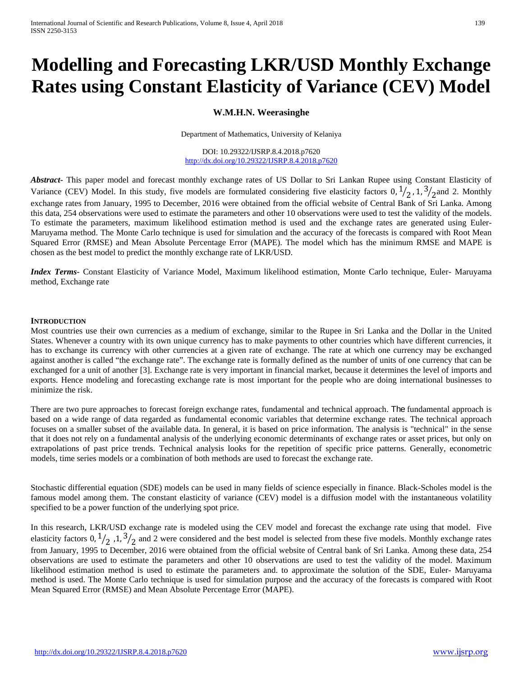# **Modelling and Forecasting LKR/USD Monthly Exchange Rates using Constant Elasticity of Variance (CEV) Model**

### **W.M.H.N. Weerasinghe**

Department of Mathematics, University of Kelaniya

DOI: 10.29322/IJSRP.8.4.2018.p7620 <http://dx.doi.org/10.29322/IJSRP.8.4.2018.p7620>

*Abstract***-** This paper model and forecast monthly exchange rates of US Dollar to Sri Lankan Rupee using Constant Elasticity of Variance (CEV) Model. In this study, five models are formulated considering five elasticity factors  $0, \frac{1}{2}, 1, \frac{3}{2}$  and 2. Monthly exchange rates from January, 1995 to December, 2016 were obtained from the official website of Central Bank of Sri Lanka. Among this data, 254 observations were used to estimate the parameters and other 10 observations were used to test the validity of the models. To estimate the parameters, maximum likelihood estimation method is used and the exchange rates are generated using Euler-Maruyama method. The Monte Carlo technique is used for simulation and the accuracy of the forecasts is compared with Root Mean Squared Error (RMSE) and Mean Absolute Percentage Error (MAPE). The model which has the minimum RMSE and MAPE is chosen as the best model to predict the monthly exchange rate of LKR/USD.

*Index Terms*- Constant Elasticity of Variance Model, Maximum likelihood estimation, Monte Carlo technique, Euler- Maruyama method, Exchange rate

### **INTRODUCTION**

Most countries use their own currencies as a medium of exchange, similar to the Rupee in Sri Lanka and the Dollar in the United States. Whenever a country with its own unique currency has to make payments to other countries which have different currencies, it has to exchange its currency with other currencies at a given rate of exchange. The rate at which one currency may be exchanged against another is called "the exchange rate". The exchange rate is formally defined as the number of units of one currency that can be exchanged for a unit of another [3]. Exchange rate is very important in financial market, because it determines the level of imports and exports. Hence modeling and forecasting exchange rate is most important for the people who are doing international businesses to minimize the risk.

There are two pure approaches to forecast foreign exchange rates, fundamental and technical approach. The fundamental approach is based on a wide range of data regarded as fundamental economic variables that determine exchange rates. The technical approach focuses on a smaller subset of the available data. In general, it is based on price information. The analysis is "technical" in the sense that it does not rely on a fundamental analysis of the underlying economic determinants of exchange rates or asset prices, but only on extrapolations of past price trends. Technical analysis looks for the repetition of specific price patterns. Generally, econometric models, time series models or a combination of both methods are used to forecast the exchange rate.

Stochastic differential equation (SDE) models can be used in many fields of science especially in finance. Black-Scholes model is the famous model among them. The constant elasticity of variance (CEV) model is a diffusion model with the instantaneous volatility specified to be a power function of the underlying spot price.

In this research, LKR/USD exchange rate is modeled using the CEV model and forecast the exchange rate using that model. Five elasticity factors  $0, \frac{1}{2}$ ,  $1, \frac{3}{2}$  and 2 were considered and the best model is selected from these five models. Monthly exchange rates from January, 1995 to December, 2016 were obtained from the official website of Central bank of Sri Lanka. Among these data, 254 observations are used to estimate the parameters and other 10 observations are used to test the validity of the model. Maximum likelihood estimation method is used to estimate the parameters and. to approximate the solution of the SDE, Euler- Maruyama method is used. The Monte Carlo technique is used for simulation purpose and the accuracy of the forecasts is compared with Root Mean Squared Error (RMSE) and Mean Absolute Percentage Error (MAPE).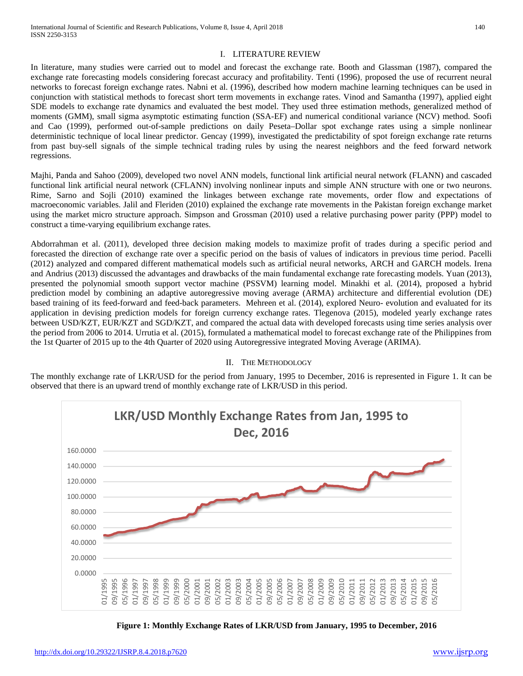### I. LITERATURE REVIEW

In literature, many studies were carried out to model and forecast the exchange rate. Booth and Glassman (1987), compared the exchange rate forecasting models considering forecast accuracy and profitability. Tenti (1996), proposed the use of recurrent neural networks to forecast foreign exchange rates. Nabni et al. (1996), described how modern machine learning techniques can be used in conjunction with statistical methods to forecast short term movements in exchange rates. Vinod and Samantha (1997), applied eight SDE models to exchange rate dynamics and evaluated the best model. They used three estimation methods, generalized method of moments (GMM), small sigma asymptotic estimating function (SSA-EF) and numerical conditional variance (NCV) method. Soofi and Cao (1999), performed out-of-sample predictions on daily Peseta–Dollar spot exchange rates using a simple nonlinear deterministic technique of local linear predictor. Gencay (1999), investigated the predictability of spot foreign exchange rate returns from past buy-sell signals of the simple technical trading rules by using the nearest neighbors and the feed forward network regressions.

Majhi, Panda and Sahoo (2009), developed two novel ANN models, functional link artificial neural network (FLANN) and cascaded functional link artificial neural network (CFLANN) involving nonlinear inputs and simple ANN structure with one or two neurons. Rime, Sarno and Sojli (2010) examined the linkages between exchange rate movements, order flow and expectations of macroeconomic variables. Jalil and Fleriden (2010) explained the exchange rate movements in the Pakistan foreign exchange market using the market micro structure approach. Simpson and Grossman (2010) used a relative purchasing power parity (PPP) model to construct a time-varying equilibrium exchange rates.

Abdorrahman et al. (2011), developed three decision making models to maximize profit of trades during a specific period and forecasted the direction of exchange rate over a specific period on the basis of values of indicators in previous time period. Pacelli (2012) analyzed and compared different mathematical models such as artificial neural networks, ARCH and GARCH models. Irena and Andrius (2013) discussed the advantages and drawbacks of the main fundamental exchange rate forecasting models. Yuan (2013), presented the polynomial smooth support vector machine (PSSVM) learning model. Minakhi et al. (2014), proposed a hybrid prediction model by combining an adaptive autoregressive moving average (ARMA) architecture and differential evolution (DE) based training of its feed-forward and feed-back parameters. Mehreen et al. (2014), explored Neuro- evolution and evaluated for its application in devising prediction models for foreign currency exchange rates. Tlegenova (2015), modeled yearly exchange rates between USD/KZT, EUR/KZT and SGD/KZT, and compared the actual data with developed forecasts using time series analysis over the period from 2006 to 2014. Urrutia et al. (2015), formulated a mathematical model to forecast exchange rate of the Philippines from the 1st Quarter of 2015 up to the 4th Quarter of 2020 using Autoregressive integrated Moving Average (ARIMA).

### II. THE METHODOLOGY

The monthly exchange rate of LKR/USD for the period from January, 1995 to December, 2016 is represented in Figure 1. It can be observed that there is an upward trend of monthly exchange rate of LKR/USD in this period.



**Figure 1: Monthly Exchange Rates of LKR/USD from January, 1995 to December, 2016**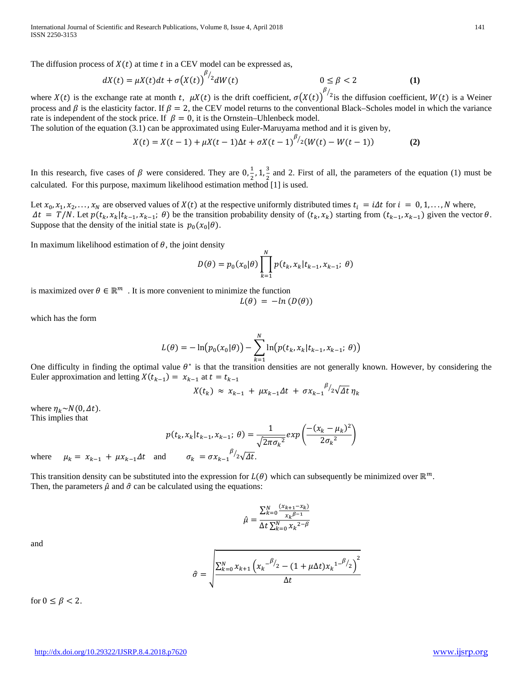International Journal of Scientific and Research Publications, Volume 8, Issue 4, April 2018 141 ISSN 2250-3153

The diffusion process of  $X(t)$  at time t in a CEV model can be expressed as,

$$
dX(t) = \mu X(t)dt + \sigma(X(t))^{1/2}dW(t) \qquad 0 \le \beta < 2
$$
 (1)

where  $X(t)$  is the exchange rate at month t,  $\mu X(t)$  is the drift coefficient,  $\sigma(X(t))^{B/2}$  is the diffusion coefficient,  $W(t)$  is a Weiner process and  $\beta$  is the elasticity factor. If  $\beta = 2$ , the CEV model returns to the conventional Black–Scholes model in which the variance rate is independent of the stock price. If  $\beta = 0$ , it is the Ornstein–Uhlenbeck model.

The solution of the equation (3.1) can be approximated using Euler-Maruyama method and it is given by,

$$
X(t) = X(t-1) + \mu X(t-1)\Delta t + \sigma X(t-1)^{\beta/2}(W(t) - W(t-1))
$$
 (2)

In this research, five cases of  $\beta$  were considered. They are  $0, \frac{1}{2}, 1, \frac{3}{2}$  and 2. First of all, the parameters of the equation (1) must be calculated. For this purpose, maximum likelihood estimation method [1] is used.

Let  $x_0, x_1, x_2, \ldots, x_N$  are observed values of  $X(t)$  at the respective uniformly distributed times  $t_i = i\Delta t$  for  $i = 0, 1, \ldots, N$  where,  $\Delta t = T/N$ . Let  $p(t_k, x_k | t_{k-1}, x_{k-1}; \theta)$  be the transition probability density of  $(t_k, x_k)$  starting from  $(t_{k-1}, x_{k-1})$  given the vector  $\theta$ . Suppose that the density of the initial state is  $p_0(x_0|\theta)$ .

In maximum likelihood estimation of  $\theta$ , the joint density

$$
D(\theta) = p_0(x_0|\theta) \prod_{k=1}^{N} p(t_k, x_k | t_{k-1}, x_{k-1}; \theta)
$$

is maximized over  $\theta \in \mathbb{R}^m$ . It is more convenient to minimize the function

$$
L(\theta) = -\ln(D(\theta))
$$

which has the form

$$
L(\theta) = -\ln(p_0(x_0|\theta)) - \sum_{k=1}^{N} \ln(p(t_k, x_k|t_{k-1}, x_{k-1}; \theta))
$$

One difficulty in finding the optimal value  $\theta^*$  is that the transition densities are not generally known. However, by considering the Euler approximation and letting  $X(t_{k-1}) = x_{k-1}$  at  $t = t_{k-1}$ 

$$
X(t_k) \approx x_{k-1} + \mu x_{k-1} \Delta t + \sigma x_{k-1}^{\ \ \ \beta/2} \sqrt{\Delta t} \eta_k
$$

where  $\eta_k \sim N(0, \Delta t)$ . This implies that

$$
p(t_k, x_k | t_{k-1}, x_{k-1}; \theta) = \frac{1}{\sqrt{2\pi \sigma_k^2}} exp\left(\frac{-(x_k - \mu_k)^2}{2\sigma_k^2}\right)
$$
  
where  $\mu_k = x_{k-1} + \mu x_{k-1} \Delta t$  and  $\sigma_k = \sigma x_{k-1}^{\beta/2} \sqrt{\Delta t}$ .

This transition density can be substituted into the expression for  $L(\theta)$  which can subsequently be minimized over  $\mathbb{R}^m$ . Then, the parameters  $\hat{\mu}$  and  $\hat{\sigma}$  can be calculated using the equations:

$$
\hat{\mu} = \frac{\sum_{k=0}^{N} \frac{(x_{k+1} - x_k)}{x_k \beta - 1}}{\Delta t \sum_{k=0}^{N} x_k^{2 - \beta}}
$$

and

$$
\hat{\sigma} = \sqrt{\frac{\sum_{k=0}^{N} x_{k+1} (x_k - \frac{\beta}{2} - (1 + \mu \Delta t) x_k^{1 - \frac{\beta}{2}})^2}{\Delta t}}
$$

for  $0 \leq \beta < 2$ .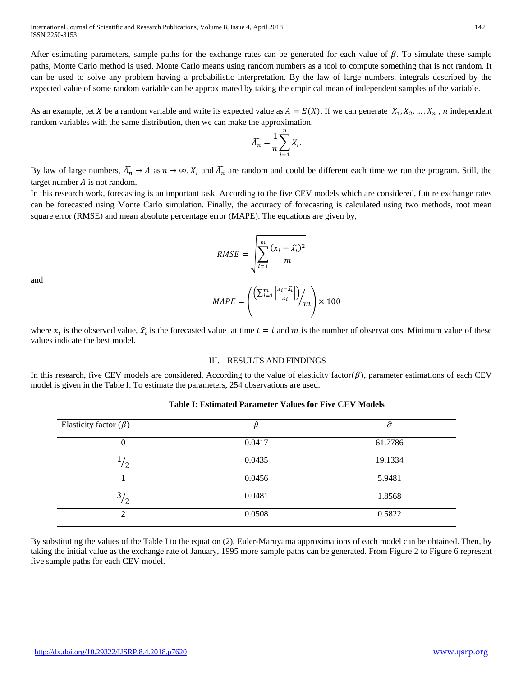After estimating parameters, sample paths for the exchange rates can be generated for each value of  $\beta$ . To simulate these sample paths, Monte Carlo method is used. Monte Carlo means using random numbers as a tool to compute something that is not random. It can be used to solve any problem having a probabilistic interpretation. By the law of large numbers, integrals described by the expected value of some random variable can be approximated by taking the empirical mean of independent samples of the variable.

As an example, let X be a random variable and write its expected value as  $A = E(X)$ . If we can generate  $X_1, X_2, ..., X_n$ , n independent random variables with the same distribution, then we can make the approximation,

$$
\widehat{A_n} = \frac{1}{n} \sum_{i=1}^n X_i.
$$

By law of large numbers,  $\overline{A_n} \to A$  as  $n \to \infty$ .  $X_i$  and  $\overline{A_n}$  are random and could be different each time we run the program. Still, the target number  $A$  is not random.

In this research work, forecasting is an important task. According to the five CEV models which are considered, future exchange rates can be forecasted using Monte Carlo simulation. Finally, the accuracy of forecasting is calculated using two methods, root mean square error (RMSE) and mean absolute percentage error (MAPE). The equations are given by,

$$
RMSE = \sqrt{\sum_{i=1}^{m} \frac{(x_i - \widehat{x}_i)^2}{m}}
$$

and

$$
MAPE = \left( \frac{\left( \sum_{i=1}^{m} \left| \frac{x_i - \widehat{x_i}}{x_i} \right| \right)}{m} \right) \times 100
$$

where  $x_i$  is the observed value,  $\hat{x}_i$  is the forecasted value at time  $t = i$  and m is the number of observations. Minimum value of these values indicate the best model.

### III. RESULTS AND FINDINGS

In this research, five CEV models are considered. According to the value of elasticity factor( $\beta$ ), parameter estimations of each CEV model is given in the Table I. To estimate the parameters, 254 observations are used.

## Elasticity factor  $(\beta)$   $\hat{\mu}$   $\hat{\sigma}$ 0 0.0417 61.7786  $\overline{1/2}$  $\frac{1}{2}$  0.0435 19.1334 1 0.0456 5.9481  $\overline{\frac{3}{2}}$  $\frac{1}{2}$  0.0481 1.8568 2 0.0508 0.5822

### **Table I: Estimated Parameter Values for Five CEV Models**

By substituting the values of the Table I to the equation (2), Euler-Maruyama approximations of each model can be obtained. Then, by taking the initial value as the exchange rate of January, 1995 more sample paths can be generated. From Figure 2 to Figure 6 represent five sample paths for each CEV model.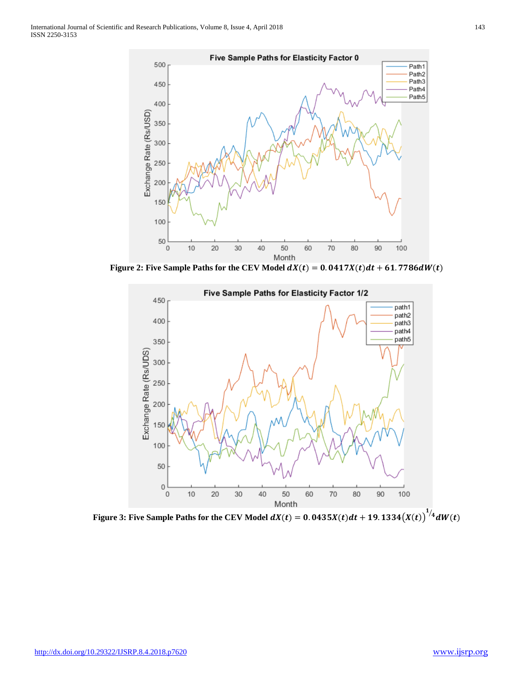

Figure 2: Five Sample Paths for the CEV Model  $dX(t) = 0.0417X(t)dt + 61.7786dW(t)$ 



Figure 3: Five Sample Paths for the CEV Model  $dX(t) = 0.0435X(t)dt + 19.1334\big(X(t)\big)^{1/4}dW(t)$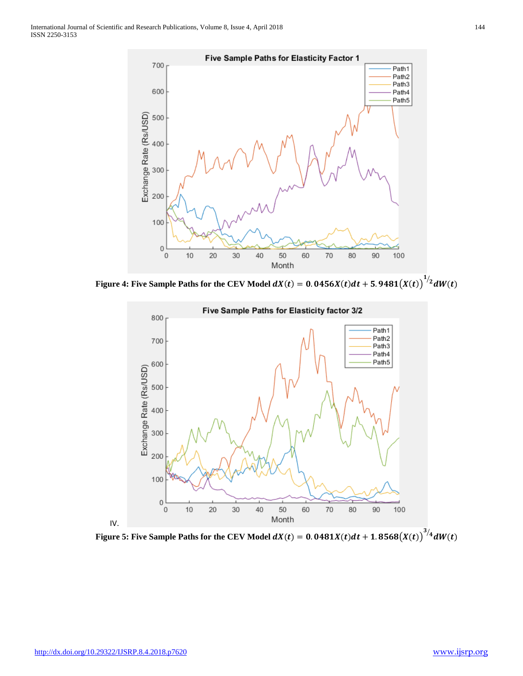

Figure 4: Five Sample Paths for the CEV Model  $dX(t) = 0.0456X(t)dt + 5.9481\big(X(t)\big)^{1/2}dW(t)$ 

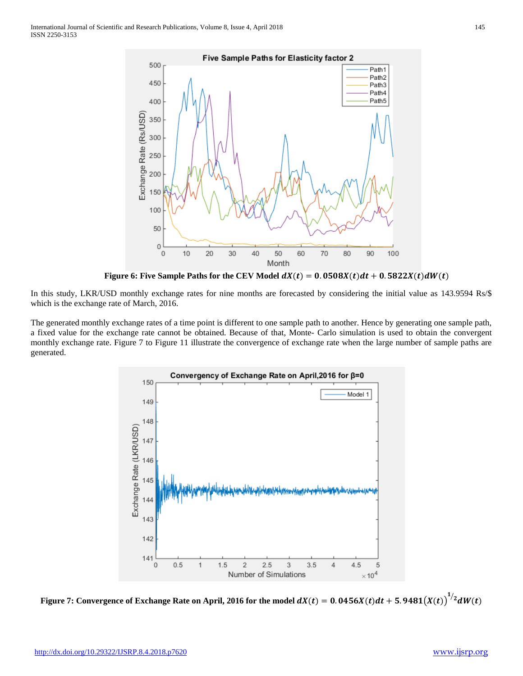

**Figure 6: Five Sample Paths for the CEV Model**  $dX(t) = 0.0508X(t)dt + 0.5822X(t)dW(t)$ 

In this study, LKR/USD monthly exchange rates for nine months are forecasted by considering the initial value as 143.9594 Rs/\$ which is the exchange rate of March, 2016.

The generated monthly exchange rates of a time point is different to one sample path to another. Hence by generating one sample path, a fixed value for the exchange rate cannot be obtained. Because of that, Monte- Carlo simulation is used to obtain the convergent monthly exchange rate. Figure 7 to Figure 11 illustrate the convergence of exchange rate when the large number of sample paths are generated.



Figure 7: Convergence of Exchange Rate on April, 2016 for the model  $dX(t) = 0.0456X(t)dt + 5.9481\big(X(t)\big)^{1/2}dW(t)$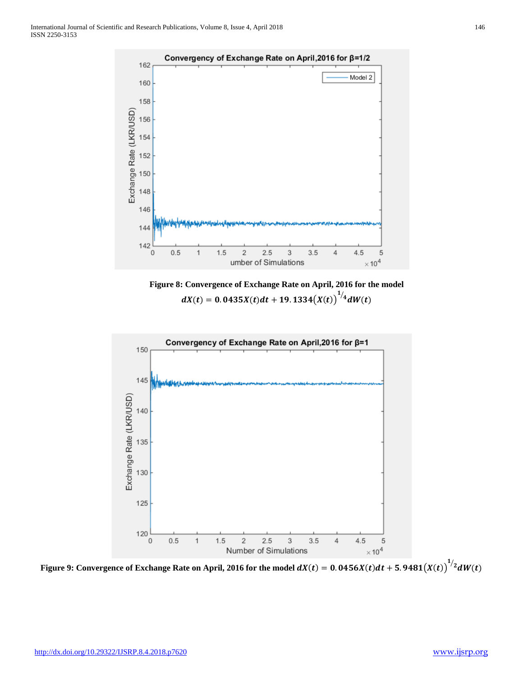

**Figure 8: Convergence of Exchange Rate on April, 2016 for the model**   $dX(t) = 0.0435X(t)dt + 19.1334(X(t))^{1/4}dW(t)$ 



Figure 9: Convergence of Exchange Rate on April, 2016 for the model  $dX(t) = 0.0456X(t)dt + 5.9481\big(X(t)\big)^{1/2}dW(t)$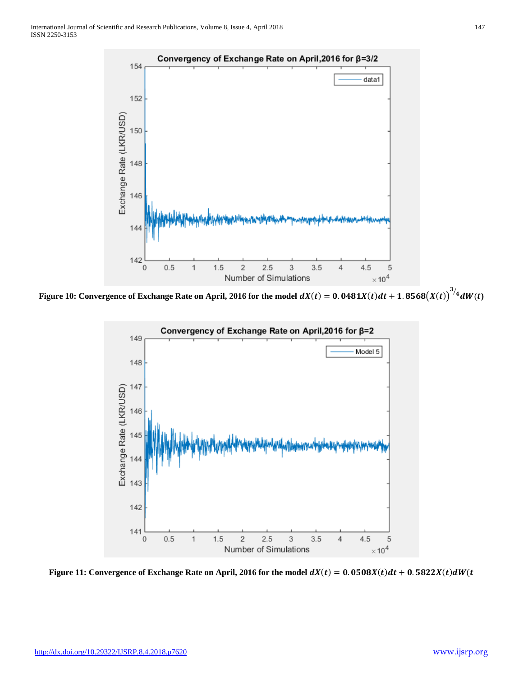

Figure 10: Convergence of Exchange Rate on April, 2016 for the model  $dX(t) = 0.0481X(t)dt + 1.8568\big(X(t)\big)^{3/4}dW(t)$ 



Figure 11: Convergence of Exchange Rate on April, 2016 for the model  $dX(t) = 0.0508X(t)dt + 0.5822X(t)dW(t)$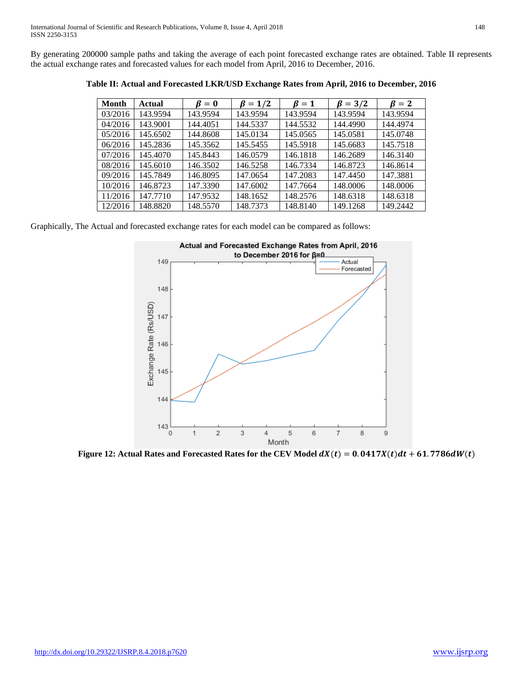By generating 200000 sample paths and taking the average of each point forecasted exchange rates are obtained. Table II represents the actual exchange rates and forecasted values for each model from April, 2016 to December, 2016.

| <b>Month</b> | Actual   | $\beta = 0$ | $\beta = 1/2$ | $\beta = 1$ | $\beta = 3/2$ | $\mathbf{\beta} = 2$ |
|--------------|----------|-------------|---------------|-------------|---------------|----------------------|
| 03/2016      | 143.9594 | 143.9594    | 143.9594      | 143.9594    | 143.9594      | 143.9594             |
| 04/2016      | 143.9001 | 144.4051    | 144.5337      | 144.5532    | 144.4990      | 144.4974             |
| 05/2016      | 145.6502 | 144.8608    | 145.0134      | 145.0565    | 145.0581      | 145.0748             |
| 06/2016      | 145.2836 | 145.3562    | 145.5455      | 145.5918    | 145.6683      | 145.7518             |
| 07/2016      | 145.4070 | 145.8443    | 146.0579      | 146.1818    | 146.2689      | 146.3140             |
| 08/2016      | 145.6010 | 146.3502    | 146.5258      | 146.7334    | 146.8723      | 146.8614             |
| 09/2016      | 145.7849 | 146.8095    | 147.0654      | 147.2083    | 147.4450      | 147.3881             |
| 10/2016      | 146.8723 | 147.3390    | 147.6002      | 147.7664    | 148.0006      | 148.0006             |
| 11/2016      | 147.7710 | 147.9532    | 148.1652      | 148.2576    | 148.6318      | 148.6318             |
| 12/2016      | 148.8820 | 148.5570    | 148.7373      | 148.8140    | 149.1268      | 149.2442             |

**Table II: Actual and Forecasted LKR/USD Exchange Rates from April, 2016 to December, 2016**

Graphically, The Actual and forecasted exchange rates for each model can be compared as follows:



**Figure 12: Actual Rates and Forecasted Rates for the CEV Model**  $dX(t) = 0.0417X(t)dt + 61.7786dW(t)$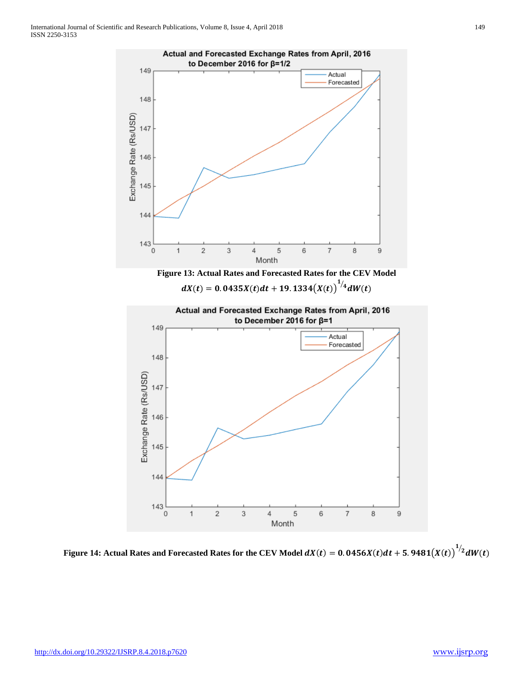

Figure 14: Actual Rates and Forecasted Rates for the CEV Model  $dX(t) = 0.0456X(t)dt + 5.9481\big(X(t)\big)^{1/2}dW(t)$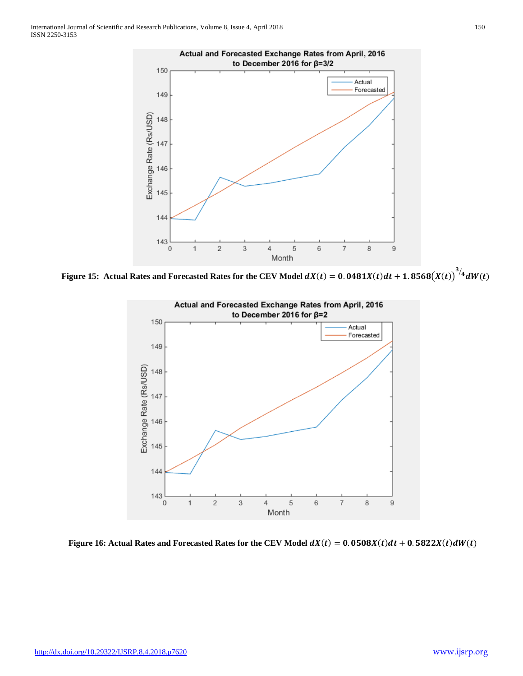

Figure 15: Actual Rates and Forecasted Rates for the CEV Model  $dX(t) = 0.0481X(t)dt + 1.8568\big(X(t)\big)^{3/4}dW(t)$ 



**Figure 16: Actual Rates and Forecasted Rates for the CEV Model**  $dX(t) = 0.0508X(t)dt + 0.5822X(t)dW(t)$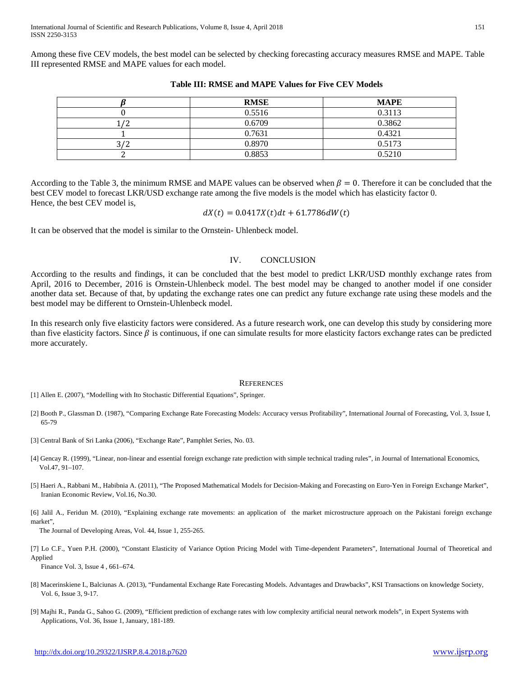Among these five CEV models, the best model can be selected by checking forecasting accuracy measures RMSE and MAPE. Table III represented RMSE and MAPE values for each model.

|      | <b>RMSE</b> | <b>MAPE</b> |
|------|-------------|-------------|
|      | 0.5516      | 0.3113      |
|      | 0.6709      | 0.3862      |
|      | 0.7631      | 0.4321      |
| רו כ | 0.8970      | 0.5173      |
|      | 0.8853      | 0.5210      |

### **Table III: RMSE and MAPE Values for Five CEV Models**

According to the Table 3, the minimum RMSE and MAPE values can be observed when  $\beta = 0$ . Therefore it can be concluded that the best CEV model to forecast LKR/USD exchange rate among the five models is the model which has elasticity factor 0. Hence, the best CEV model is,

$$
dX(t) = 0.0417X(t)dt + 61.7786dW(t)
$$

It can be observed that the model is similar to the Ornstein- Uhlenbeck model.

### IV. CONCLUSION

According to the results and findings, it can be concluded that the best model to predict LKR/USD monthly exchange rates from April, 2016 to December, 2016 is Ornstein-Uhlenbeck model. The best model may be changed to another model if one consider another data set. Because of that, by updating the exchange rates one can predict any future exchange rate using these models and the best model may be different to Ornstein-Uhlenbeck model.

In this research only five elasticity factors were considered. As a future research work, one can develop this study by considering more than five elasticity factors. Since  $\beta$  is continuous, if one can simulate results for more elasticity factors exchange rates can be predicted more accurately.

### **REFERENCES**

[1] Allen E. (2007), "Modelling with Ito Stochastic Differential Equations", Springer.

- [2] Booth P., Glassman D. (1987), "Comparing Exchange Rate Forecasting Models: Accuracy versus Profitability", International Journal of Forecasting, Vol. 3, Issue I, 65-79
- [3] Central Bank of Sri Lanka (2006), "Exchange Rate", Pamphlet Series, No. 03.
- [4] Gencay R. (1999), "Linear, non-linear and essential foreign exchange rate prediction with simple technical trading rules", in Journal of International Economics, Vol.47, 91–107.
- [5] Haeri A., Rabbani M., Habibnia A. (2011), "The Proposed Mathematical Models for Decision-Making and Forecasting on Euro-Yen in Foreign Exchange Market", Iranian Economic Review, Vol.16, No.30.

[6] Jalil A., Feridun M. (2010), "Explaining exchange rate movements: an application of the market microstructure approach on the Pakistani foreign exchange market",

The Journal of Developing Areas, Vol. 44, Issue 1, 255-265.

[7] Lo C.F., Yuen P.H. (2000), "Constant Elasticity of Variance Option Pricing Model with Time-dependent Parameters", International Journal of Theoretical and Applied

Finance Vol. 3, Issue 4 , 661–674.

- [8] Macerinskiene I., Balciunas A. (2013), "Fundamental Exchange Rate Forecasting Models. Advantages and Drawbacks", KSI Transactions on knowledge Society, Vol. 6, Issue 3, 9-17.
- [9] Majhi R., Panda G., Sahoo G. (2009), "Efficient prediction of exchange rates with low complexity artificial neural network models", in Expert Systems with Applications, Vol. 36, Issue 1, January, 181-189.